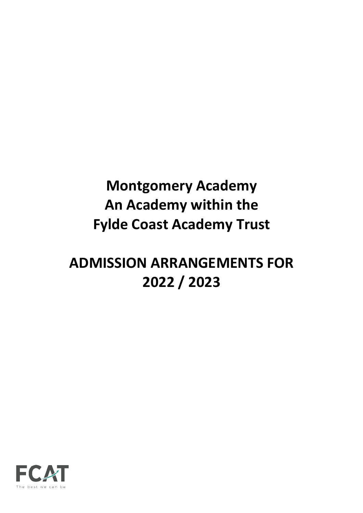# **Montgomery Academy An Academy within the Fylde Coast Academy Trust**

# **ADMISSION ARRANGEMENTS FOR 2022 / 2023**

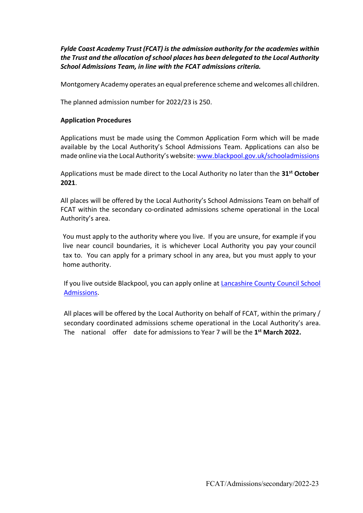*Fylde Coast Academy Trust (FCAT) is the admission authority for the academies within the Trust and the allocation of school places has been delegated to the Local Authority School Admissions Team, in line with the FCAT admissions criteria.*

Montgomery Academy operates an equal preference scheme and welcomes all children.

The planned admission number for 2022/23 is 250.

#### **Application Procedures**

Applications must be made using the Common Application Form which will be made available by the Local Authority's School Admissions Team. Applications can also be made online via the Local Authority's website: www.blackpool.gov.uk/schooladmissions

Applications must be made direct to the Local Authority no later than the **31st October 2021**.

All places will be offered by the Local Authority's School Admissions Team on behalf of FCAT within the secondary co-ordinated admissions scheme operational in the Local Authority's area.

You must apply to the authority where you live. If you are unsure, for example if you live near council boundaries, it is whichever Local Authority you pay your council tax to. You can apply for a primary school in any area, but you must apply to your home authority.

If you live outside Blackpool, you can apply online at Lancashire County Council School Admissions.

All places will be offered by the Local Authority on behalf of FCAT, within the primary / secondary coordinated admissions scheme operational in the Local Authority's area. The national offer date for admissions to Year 7 will be the **1st March 2022.**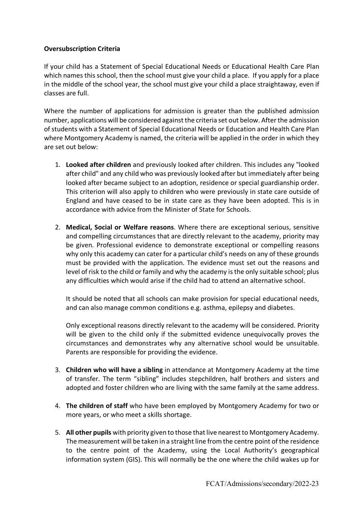# **Oversubscription Criteria**

If your child has a Statement of Special Educational Needs or Educational Health Care Plan which names this school, then the school must give your child a place. If you apply for a place in the middle of the school year, the school must give your child a place straightaway, even if classes are full.

Where the number of applications for admission is greater than the published admission number, applications will be considered against the criteria set out below. After the admission of students with a Statement of Special Educational Needs or Education and Health Care Plan where Montgomery Academy is named, the criteria will be applied in the order in which they are set out below:

- 1. **Looked after children** and previously looked after children. This includes any "looked after child" and any child who was previously looked after but immediately after being looked after became subject to an adoption, residence or special guardianship order. This criterion will also apply to children who were previously in state care outside of England and have ceased to be in state care as they have been adopted. This is in accordance with advice from the Minister of State for Schools.
- 2. **Medical, Social or Welfare reasons**. Where there are exceptional serious, sensitive and compelling circumstances that are directly relevant to the academy, priority may be given. Professional evidence to demonstrate exceptional or compelling reasons why only this academy can cater for a particular child's needs on any of these grounds must be provided with the application. The evidence must set out the reasons and level of risk to the child or family and why the academy is the only suitable school; plus any difficulties which would arise if the child had to attend an alternative school.

It should be noted that all schools can make provision for special educational needs, and can also manage common conditions e.g. asthma, epilepsy and diabetes.

Only exceptional reasons directly relevant to the academy will be considered. Priority will be given to the child only if the submitted evidence unequivocally proves the circumstances and demonstrates why any alternative school would be unsuitable. Parents are responsible for providing the evidence.

- 3. **Children who will have a sibling** in attendance at Montgomery Academy at the time of transfer. The term "sibling" includes stepchildren, half brothers and sisters and adopted and foster children who are living with the same family at the same address.
- 4. **The children of staff** who have been employed by Montgomery Academy for two or more years, or who meet a skills shortage.
- 5. **All other pupils** with priority given to those that live nearest to Montgomery Academy. The measurement will be taken in a straight line from the centre point of the residence to the centre point of the Academy, using the Local Authority's geographical information system (GIS). This will normally be the one where the child wakes up for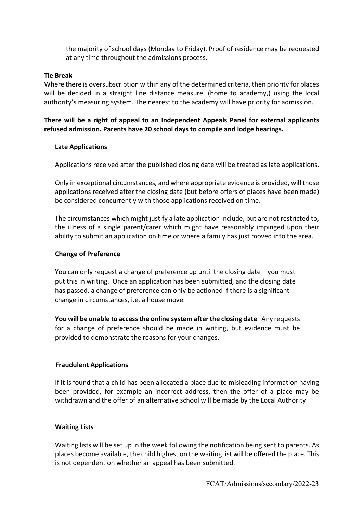the majority of school days (Monday to Friday). Proof of residence may be requested at any time throughout the admissions process.

#### **Tie Break**

Where there is oversubscription within any of the determined criteria, then priority for places will be decided in a straight line distance measure, (home to academy,) using the local authority's measuring system. The nearest to the academy will have priority for admission.

**There will be a right of appeal to an Independent Appeals Panel for external applicants refused admission. Parents have 20 school days to compile and lodge hearings.**

### **Late Applications**

Applications received after the published closing date will be treated as late applications.

Only in exceptional circumstances, and where appropriate evidence is provided, will those applications received after the closing date (but before offers of places have been made) be considered concurrently with those applications received on time.

The circumstances which might justify a late application include, but are not restricted to, the illness of a single parent/carer which might have reasonably impinged upon their ability to submit an application on time or where a family has just moved into the area.

### **Change of Preference**

You can only request a change of preference up until the closing date – you must put this in writing. Once an application has been submitted, and the closing date has passed, a change of preference can only be actioned if there is a significant change in circumstances, i.e. a house move.

**You will be unable to access the online system after the closing date**. Any requests for a change of preference should be made in writing, but evidence must be provided to demonstrate the reasons for your changes.

#### **Fraudulent Applications**

If it is found that a child has been allocated a place due to misleading information having been provided, for example an incorrect address, then the offer of a place may be withdrawn and the offer of an alternative school will be made by the Local Authority

#### **Waiting Lists**

Waiting lists will be set up in the week following the notification being sent to parents. As places become available, the child highest on the waiting list will be offered the place. This is not dependent on whether an appeal has been submitted.